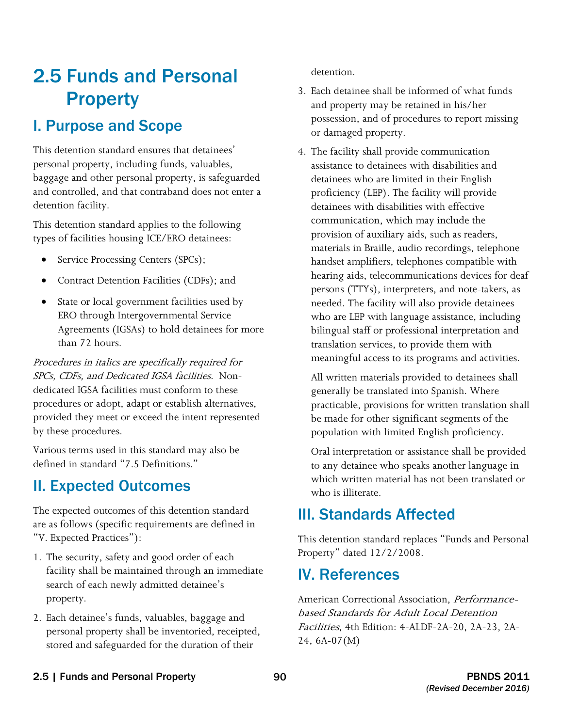# 2.5 Funds and Personal **Property**

### I. Purpose and Scope

This detention standard ensures that detainees' personal property, including funds, valuables, baggage and other personal property, is safeguarded and controlled, and that contraband does not enter a detention facility.

This detention standard applies to the following types of facilities housing ICE/ERO detainees:

- Service Processing Centers (SPCs);
- Contract Detention Facilities (CDFs); and
- State or local government facilities used by ERO through Intergovernmental Service Agreements (IGSAs) to hold detainees for more than 72 hours.

 SPCs, CDFs, and Dedicated IGSA facilities. Non-Procedures in italics are specifically required for dedicated IGSA facilities must conform to these procedures or adopt, adapt or establish alternatives, provided they meet or exceed the intent represented by these procedures.

Various terms used in this standard may also be defined in standard "7.5 Definitions."

## II. Expected Outcomes

The expected outcomes of this detention standard are as follows (specific requirements are defined in "V. Expected Practices"):

- 1. The security, safety and good order of each facility shall be maintained through an immediate search of each newly admitted detainee's property.
- 2. Each detainee's funds, valuables, baggage and personal property shall be inventoried, receipted, stored and safeguarded for the duration of their

detention.

- 3. Each detainee shall be informed of what funds and property may be retained in his/her possession, and of procedures to report missing or damaged property.
- 4. The facility shall provide communication assistance to detainees with disabilities and detainees who are limited in their English proficiency (LEP). The facility will provide detainees with disabilities with effective communication, which may include the provision of auxiliary aids, such as readers, materials in Braille, audio recordings, telephone handset amplifiers, telephones compatible with hearing aids, telecommunications devices for deaf persons (TTYs), interpreters, and note-takers, as needed. The facility will also provide detainees who are LEP with language assistance, including bilingual staff or professional interpretation and translation services, to provide them with meaningful access to its programs and activities.

 All written materials provided to detainees shall generally be translated into Spanish. Where practicable, provisions for written translation shall be made for other significant segments of the population with limited English proficiency.

Oral interpretation or assistance shall be provided to any detainee who speaks another language in which written material has not been translated or who is illiterate.

## III. Standards Affected

This detention standard replaces "Funds and Personal Property" dated 12/2/2008.

### IV. References

American Correctional Association, *Performance*based Standards for Adult Local Detention Facilities, 4th Edition: 4-ALDF-2A-20, 2A-23, 2A-24, 6A-07(M)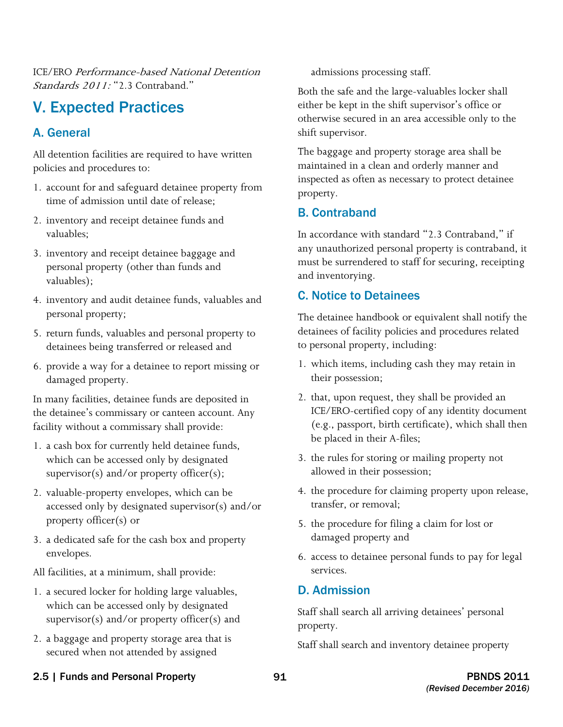ICE/ERO Performance-based National Detention Standards  $2011 \cdot$  " $2.3$  Contraband."

## V. Expected Practices

### A. General

All detention facilities are required to have written policies and procedures to:

- 1. account for and safeguard detainee property from time of admission until date of release;
- 2. inventory and receipt detainee funds and valuables;
- 3. inventory and receipt detainee baggage and personal property (other than funds and valuables);
- 4. inventory and audit detainee funds, valuables and personal property;
- 5. return funds, valuables and personal property to detainees being transferred or released and
- 6. provide a way for a detainee to report missing or damaged property.

In many facilities, detainee funds are deposited in the detainee's commissary or canteen account. Any facility without a commissary shall provide:

- 1. a cash box for currently held detainee funds, which can be accessed only by designated supervisor(s) and/or property officer(s);
- 2. valuable-property envelopes, which can be accessed only by designated supervisor(s) and/or property officer(s) or
- 3. a dedicated safe for the cash box and property envelopes.

All facilities, at a minimum, shall provide:

- 1. a secured locker for holding large valuables, which can be accessed only by designated supervisor(s) and/or property officer(s) and
- 2. a baggage and property storage area that is secured when not attended by assigned

admissions processing staff.

Both the safe and the large-valuables locker shall either be kept in the shift supervisor's office or otherwise secured in an area accessible only to the shift supervisor.

The baggage and property storage area shall be maintained in a clean and orderly manner and inspected as often as necessary to protect detainee property.

#### B. Contraband

In accordance with standard "2.3 Contraband," if any unauthorized personal property is contraband, it must be surrendered to staff for securing, receipting and inventorying.

#### C. Notice to Detainees

The detainee handbook or equivalent shall notify the detainees of facility policies and procedures related to personal property, including:

- 1. which items, including cash they may retain in their possession;
- 2. that, upon request, they shall be provided an ICE/ERO-certified copy of any identity document (e.g., passport, birth certificate), which shall then be placed in their A-files;
- 3. the rules for storing or mailing property not allowed in their possession;
- 4. the procedure for claiming property upon release, transfer, or removal;
- 5. the procedure for filing a claim for lost or damaged property and
- 6. access to detainee personal funds to pay for legal services.

#### D. Admission

Staff shall search all arriving detainees' personal property.

Staff shall search and inventory detainee property

2.5 | Funds and Personal Property 91 PBNDS 2011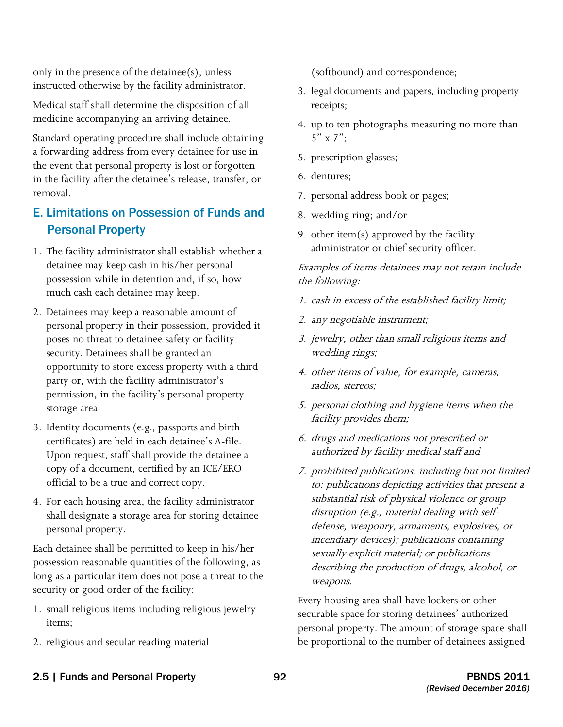only in the presence of the detainee(s), unless instructed otherwise by the facility administrator.

Medical staff shall determine the disposition of all medicine accompanying an arriving detainee.

 the event that personal property is lost or forgotten Standard operating procedure shall include obtaining a forwarding address from every detainee for use in in the facility after the detainee's release, transfer, or removal.

### E. Limitations on Possession of Funds and Personal Property

- much cash each detainee may keep. 1. The facility administrator shall establish whether a detainee may keep cash in his/her personal possession while in detention and, if so, how
- 2. Detainees may keep a reasonable amount of personal property in their possession, provided it poses no threat to detainee safety or facility security. Detainees shall be granted an opportunity to store excess property with a third party or, with the facility administrator's permission, in the facility's personal property storage area.
- 3. Identity documents (e.g., passports and birth certificates) are held in each detainee's A-file. Upon request, staff shall provide the detainee a copy of a document, certified by an ICE/ERO official to be a true and correct copy.
- 4. For each housing area, the facility administrator shall designate a storage area for storing detainee personal property.

 security or good order of the facility: Each detainee shall be permitted to keep in his/her possession reasonable quantities of the following, as long as a particular item does not pose a threat to the

- 1. small religious items including religious jewelry items;
- 2. religious and secular reading material

(softbound) and correspondence;

- 3. legal documents and papers, including property receipts;
- 4. up to ten photographs measuring no more than  $5" \times 7"$ :
- 5. prescription glasses;
- 6. dentures;
- 7. personal address book or pages;
- 8. wedding ring; and/or
- 9. other item(s) approved by the facility administrator or chief security officer.

Examples of items detainees may not retain include the following:

- 1. cash in excess of the established facility limit;
- 2. any negotiable instrument;
- 3. jewelry, other than small religious items and wedding rings;
- 4. other items of value, for example, cameras, radios, stereos;
- 5. personal clothing and hygiene items when the facility provides them;
- 6. drugs and medications not prescribed or authorized by facility medical staff and
- 7. prohibited publications, including but not limited to: publications depicting activities that present a substantial risk of physical violence or group disruption (e.g., material dealing with selfdefense, weaponry, armaments, explosives, or incendiary devices); publications containing sexually explicit material; or publications describing the production of drugs, alcohol, or weapons.

Every housing area shall have lockers or other securable space for storing detainees' authorized personal property. The amount of storage space shall be proportional to the number of detainees assigned

2.5 | Funds and Personal Property 92 PBNDS 2011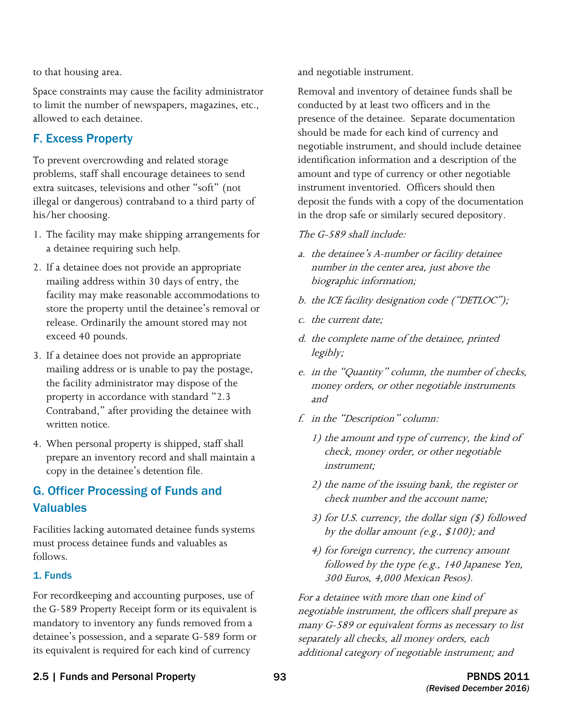to that housing area.

Space constraints may cause the facility administrator to limit the number of newspapers, magazines, etc., allowed to each detainee.

#### F. Excess Property

To prevent overcrowding and related storage problems, staff shall encourage detainees to send extra suitcases, televisions and other "soft" (not illegal or dangerous) contraband to a third party of his/her choosing.

- 1. The facility may make shipping arrangements for a detainee requiring such help.
- 2. If a detainee does not provide an appropriate mailing address within 30 days of entry, the facility may make reasonable accommodations to store the property until the detainee's removal or release. Ordinarily the amount stored may not exceed 40 pounds.
- 3. If a detainee does not provide an appropriate mailing address or is unable to pay the postage, the facility administrator may dispose of the property in accordance with standard "2.3 Contraband," after providing the detainee with written notice.
- 4. When personal property is shipped, staff shall prepare an inventory record and shall maintain a copy in the detainee's detention file.

### G. Officer Processing of Funds and Valuables

Facilities lacking automated detainee funds systems must process detainee funds and valuables as follows.

#### 1. Funds

 For recordkeeping and accounting purposes, use of detainee's possession, and a separate G-589 form or its equivalent is required for each kind of currency the G-589 Property Receipt form or its equivalent is mandatory to inventory any funds removed from a

and negotiable instrument.

 presence of the detainee. Separate documentation Removal and inventory of detainee funds shall be conducted by at least two officers and in the should be made for each kind of currency and negotiable instrument, and should include detainee identification information and a description of the amount and type of currency or other negotiable instrument inventoried. Officers should then deposit the funds with a copy of the documentation in the drop safe or similarly secured depository.

#### The G-589 shall include:

- a. the detainee's A-number or facility detainee number in the center area, just above the biographic information;
- b. the ICE facility designation code ("DETLOC");
- c. the current date;
- d. the complete name of the detainee, printed legibly;
- e. in the "Quantity" column, the number of checks, money orders, or other negotiable instruments and
- f. in the "Description" column:
	- 1) the amount and type of currency, the kind of check, money order, or other negotiable instrument;
	- 2) the name of the issuing bank, the register or check number and the account name;
	- 3) for U.S. currency, the dollar sign (\$) followed by the dollar amount (e.g., \$100); and
	- 4) for foreign currency, the currency amount followed by the type (e.g., 140 Japanese Yen, 300 Euros, 4,000 Mexican Pesos).

For a detainee with more than one kind of negotiable instrument, the officers shall prepare as many G-589 or equivalent forms as necessary to list separately all checks, all money orders, each additional category of negotiable instrument; and

#### 2.5 | Funds and Personal Property **93** 93 PBNDS 2011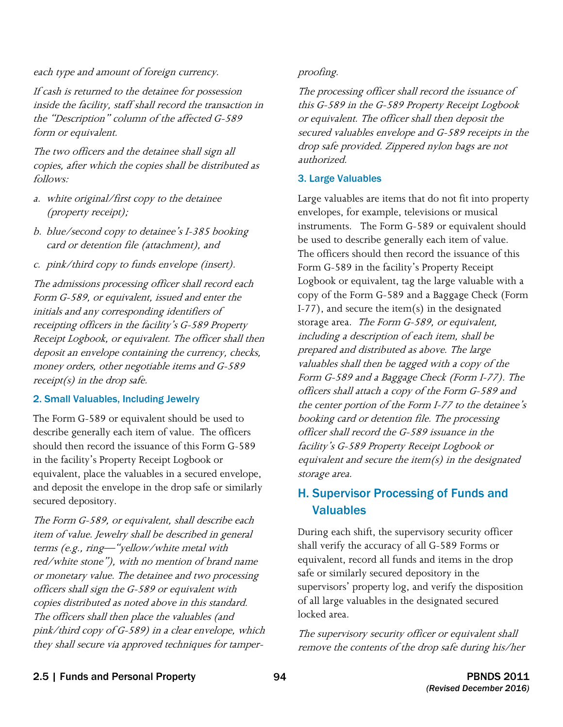#### each type and amount of foreign currency. proofing.

If cash is returned to the detainee for possession inside the facility, staff shall record the transaction in the "Description" column of the affected G-589 form or equivalent.

The two officers and the detainee shall sign all copies, after which the copies shall be distributed as follows:

- a. white original/first copy to the detainee (property receipt);
- b. blue/second copy to detainee's I-385 booking card or detention file (attachment), and
- c. pink/third copy to funds envelope (insert).

 The admissions processing officer shall record each Form G-589, or equivalent, issued and enter the initials and any corresponding identifiers of Receipt Logbook, or equivalent. The officer shall then deposit an envelope containing the currency, checks, money orders, other negotiable items and G-589 receipt(s) in the drop safe. receipting officers in the facility's G-589 Property

#### 2. Small Valuables, Including Jewelry

 describe generally each item of value. The officers should then record the issuance of this Form G-589 and deposit the envelope in the drop safe or similarly The Form G-589 or equivalent should be used to in the facility's Property Receipt Logbook or equivalent, place the valuables in a secured envelope, secured depository.

 item of value. Jewelry shall be described in general red/white stone"), with no mention of brand name or monetary value. The detainee and two processing copies distributed as noted above in this standard. The officers shall then place the valuables (and The Form G-589, or equivalent, shall describe each terms (e.g., ring—"yellow/white metal with officers shall sign the G-589 or equivalent with pink/third copy of G-589) in a clear envelope, which they shall secure via approved techniques for tamper-

The processing officer shall record the issuance of this G-589 in the G-589 Property Receipt Logbook or equivalent. The officer shall then deposit the secured valuables envelope and G-589 receipts in the drop safe provided. Zippered nylon bags are not authorized.

#### 3. Large Valuables

storage area. The Form G-589, or equivalent, Large valuables are items that do not fit into property envelopes, for example, televisions or musical instruments. The Form G-589 or equivalent should be used to describe generally each item of value. The officers should then record the issuance of this Form G-589 in the facility's Property Receipt Logbook or equivalent, tag the large valuable with a copy of the Form G-589 and a Baggage Check (Form I-77), and secure the item(s) in the designated including a description of each item, shall be prepared and distributed as above. The large valuables shall then be tagged with a copy of the Form G-589 and a Baggage Check (Form I-77). The officers shall attach a copy of the Form G-589 and the center portion of the Form I-77 to the detainee's booking card or detention file. The processing officer shall record the G-589 issuance in the facility's G-589 Property Receipt Logbook or equivalent and secure the item $(s)$  in the designated storage area.

#### H. Supervisor Processing of Funds and Valuables

During each shift, the supervisory security officer shall verify the accuracy of all G-589 Forms or equivalent, record all funds and items in the drop safe or similarly secured depository in the supervisors' property log, and verify the disposition of all large valuables in the designated secured locked area.

The supervisory security officer or equivalent shall remove the contents of the drop safe during his/her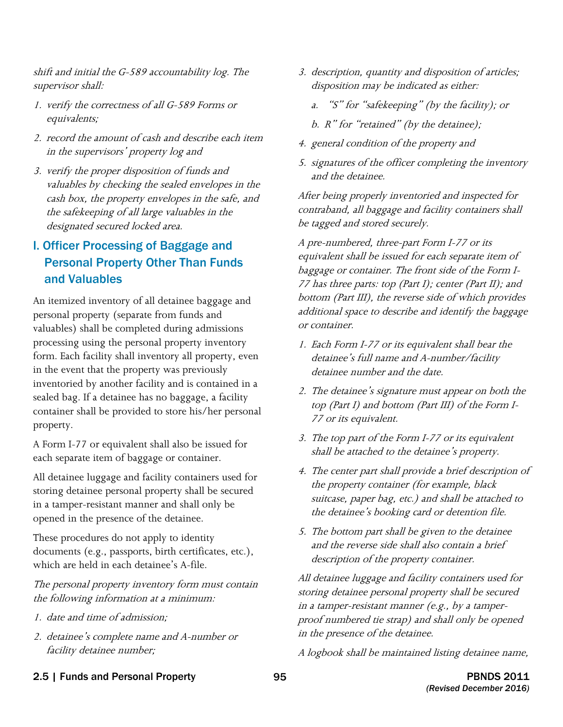shift and initial the G-589 accountability log. The supervisor shall:

- 1. verify the correctness of all G-589 Forms or equivalents;
- 2. record the amount of cash and describe each item in the supervisors' property log and
- 3. verify the proper disposition of funds and valuables by checking the sealed envelopes in the cash box, the property envelopes in the safe, and the safekeeping of all large valuables in the designated secured locked area.

### I. Officer Processing of Baggage and Personal Property Other Than Funds and Valuables

An itemized inventory of all detainee baggage and personal property (separate from funds and valuables) shall be completed during admissions processing using the personal property inventory form. Each facility shall inventory all property, even in the event that the property was previously inventoried by another facility and is contained in a sealed bag. If a detainee has no baggage, a facility container shall be provided to store his/her personal property.

A Form I-77 or equivalent shall also be issued for each separate item of baggage or container.

opened in the presence of the detainee. All detainee luggage and facility containers used for storing detainee personal property shall be secured in a tamper-resistant manner and shall only be

These procedures do not apply to identity. documents (e.g., passports, birth certificates, etc.), which are held in each detainee's A-file.

The personal property inventory form must contain the following information at a minimum:

- 1. date and time of admission;
- 2. detainee's complete name and A-number or facility detainee number;
- 3. description, quantity and disposition of articles; disposition may be indicated as either:
	- a. "S" for "safekeeping" (by the facility); or
	- b.  $R$ " for "retained" (by the detainee);
- 4. general condition of the property and
- 5. signatures of the officer completing the inventory and the detainee.

After being properly inventoried and inspected for contraband, all baggage and facility containers shall be tagged and stored securely.

A pre-numbered, three-part Form I-77 or its equivalent shall be issued for each separate item of baggage or container. The front side of the Form I-77 has three parts: top (Part I); center (Part II); and bottom (Part III), the reverse side of which provides additional space to describe and identify the baggage or container.

- 1. Each Form I-77 or its equivalent shall bear the detainee's full name and A-number/facility detainee number and the date.
- 2. The detainee's signature must appear on both the top (Part I) and bottom (Part III) of the Form I-77 or its equivalent.
- 3. The top part of the Form I-77 or its equivalent shall be attached to the detainee's property.
- 4. The center part shall provide a brief description of the property container (for example, black suitcase, paper bag, etc.) and shall be attached to the detainee's booking card or detention file.
- 5. The bottom part shall be given to the detainee and the reverse side shall also contain a brief description of the property container.

 All detainee luggage and facility containers used for storing detainee personal property shall be secured in a tamper-resistant manner (e.g., by a tamperproof numbered tie strap) and shall only be opened in the presence of the detainee.

A logbook shall be maintained listing detainee name,

2.5 | Funds and Personal Property **95** 95 PBNDS 2011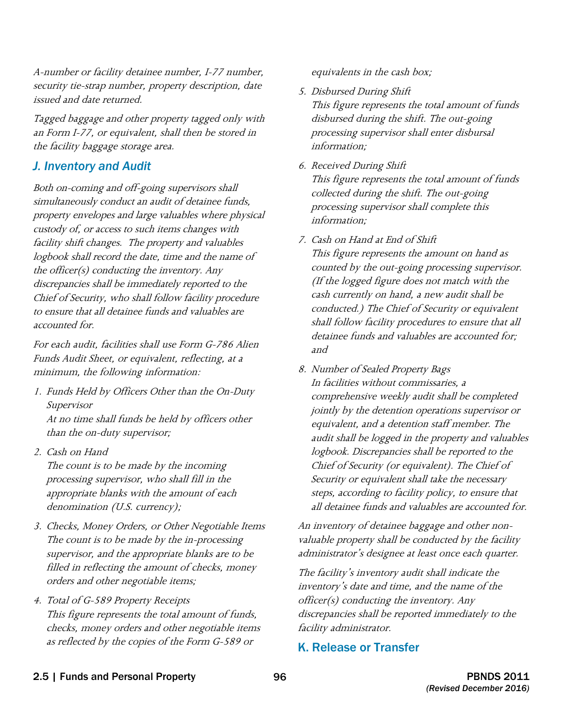A-number or facility detainee number, I-77 number, security tie-strap number, property description, date issued and date returned.

Tagged baggage and other property tagged only with an Form I-77, or equivalent, shall then be stored in the facility baggage storage area.

#### *J. Inventory and Audit*

 custody of, or access to such items changes with logbook shall record the date, time and the name of the officer(s) conducting the inventory. Any Both on-coming and off-going supervisors shall simultaneously conduct an audit of detainee funds, property envelopes and large valuables where physical facility shift changes. The property and valuables discrepancies shall be immediately reported to the Chief of Security, who shall follow facility procedure to ensure that all detainee funds and valuables are accounted for.

For each audit, facilities shall use Form G-786 Alien Funds Audit Sheet, or equivalent, reflecting, at a minimum, the following information:

- 1. Funds Held by Officers Other than the On-Duty Supervisor At no time shall funds be held by officers other than the on-duty supervisor;
- 2. Cash on Hand

The count is to be made by the incoming processing supervisor, who shall fill in the appropriate blanks with the amount of each denomination (U.S. currency);

- 3. Checks, Money Orders, or Other Negotiable Items The count is to be made by the in-processing supervisor, and the appropriate blanks are to be filled in reflecting the amount of checks, money orders and other negotiable items;
- 4. Total of G-589 Property Receipts This figure represents the total amount of funds, checks, money orders and other negotiable items as reflected by the copies of the Form G-589 or

equivalents in the cash box;

- 5. Disbursed During Shift This figure represents the total amount of funds disbursed during the shift. The out-going processing supervisor shall enter disbursal information;
- 6. Received During Shift

This figure represents the total amount of funds collected during the shift. The out-going processing supervisor shall complete this information;

7. Cash on Hand at End of Shift

This figure represents the amount on hand as counted by the out-going processing supervisor. (If the logged figure does not match with the cash currently on hand, a new audit shall be conducted.) The Chief of Security or equivalent shall follow facility procedures to ensure that all detainee funds and valuables are accounted for; and

 jointly by the detention operations supervisor or equivalent, and a detention staff member. The audit shall be logged in the property and valuables logbook. Discrepancies shall be reported to the Chief of Security (or equivalent). The Chief of all detainee funds and valuables are accounted for. 8. Number of Sealed Property Bags In facilities without commissaries, a comprehensive weekly audit shall be completed Security or equivalent shall take the necessary steps, according to facility policy, to ensure that

An inventory of detainee baggage and other nonvaluable property shall be conducted by the facility administrator's designee at least once each quarter.

The facility's inventory audit shall indicate the inventory's date and time, and the name of the officer(s) conducting the inventory. Any discrepancies shall be reported immediately to the facility administrator.

### K. Release or Transfer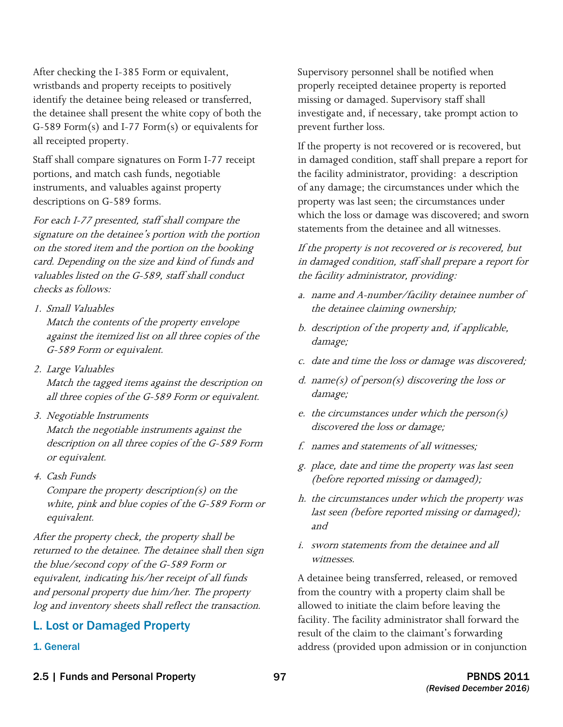After checking the I-385 Form or equivalent, wristbands and property receipts to positively identify the detainee being released or transferred, the detainee shall present the white copy of both the G-589 Form(s) and I-77 Form(s) or equivalents for all receipted property.

Staff shall compare signatures on Form I-77 receipt portions, and match cash funds, negotiable instruments, and valuables against property descriptions on G-589 forms.

For each I-77 presented, staff shall compare the signature on the detainee's portion with the portion on the stored item and the portion on the booking card. Depending on the size and kind of funds and valuables listed on the G-589, staff shall conduct checks as follows:

1. Small Valuables

Match the contents of the property envelope against the itemized list on all three copies of the G-589 Form or equivalent.

- 2. Large Valuables Match the tagged items against the description on all three copies of the G-589 Form or equivalent.
- 3. Negotiable Instruments Match the negotiable instruments against the description on all three copies of the G-589 Form or equivalent.
- 4. Cash Funds

Compare the property description(s) on the white, pink and blue copies of the G-589 Form or equivalent.

After the property check, the property shall be returned to the detainee. The detainee shall then sign the blue/second copy of the G-589 Form or equivalent, indicating his/her receipt of all funds and personal property due him/her. The property log and inventory sheets shall reflect the transaction.

#### L. Lost or Damaged Property

1. General

 missing or damaged. Supervisory staff shall Supervisory personnel shall be notified when properly receipted detainee property is reported investigate and, if necessary, take prompt action to prevent further loss.

 If the property is not recovered or is recovered, but statements from the detainee and all witnesses. in damaged condition, staff shall prepare a report for the facility administrator, providing: a description of any damage; the circumstances under which the property was last seen; the circumstances under which the loss or damage was discovered; and sworn

If the property is not recovered or is recovered, but in damaged condition, staff shall prepare a report for the facility administrator, providing:

- a. name and A-number/facility detainee number of the detainee claiming ownership;
- b. description of the property and, if applicable, damage;
- c. date and time the loss or damage was discovered;
- d. name(s) of person(s) discovering the loss or damage;
- e. the circumstances under which the person $(s)$ discovered the loss or damage;
- f. names and statements of all witnesses:
- g. place, date and time the property was last seen (before reported missing or damaged);
- h. the circumstances under which the property was last seen (before reported missing or damaged); and
- i. sworn statements from the detainee and all witnesses.

A detainee being transferred, released, or removed from the country with a property claim shall be allowed to initiate the claim before leaving the facility. The facility administrator shall forward the result of the claim to the claimant's forwarding address (provided upon admission or in conjunction